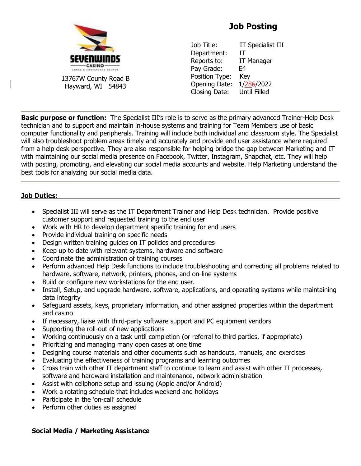

13767W County Road B Hayward, WI 54843

# **Job Posting**

Job Title: IT Specialist III Department: IT Reports to: IT Manager Pay Grade: E4 Position Type: Key Opening Date: 1/286/2022 Closing Date: Until Filled

**Basic purpose or function:** The Specialist III's role is to serve as the primary advanced Trainer-Help Desk technician and to support and maintain in-house systems and training for Team Members use of basic computer functionality and peripherals. Training will include both individual and classroom style. The Specialist will also troubleshoot problem areas timely and accurately and provide end user assistance where required from a help desk perspective. They are also responsible for helping bridge the gap between Marketing and IT with maintaining our social media presence on Facebook, Twitter, Instagram, Snapchat, etc. They will help with posting, promoting, and elevating our social media accounts and website. Help Marketing understand the best tools for analyzing our social media data.

## **Job Duties:**

- Specialist III will serve as the IT Department Trainer and Help Desk technician. Provide positive customer support and requested training to the end user
- Work with HR to develop department specific training for end users
- Provide individual training on specific needs
- Design written training guides on IT policies and procedures
- Keep up to date with relevant systems, hardware and software
- Coordinate the administration of training courses
- Perform advanced Help Desk functions to include troubleshooting and correcting all problems related to hardware, software, network, printers, phones, and on-line systems
- Build or configure new workstations for the end user.
- Install, Setup, and upgrade hardware, software, applications, and operating systems while maintaining data integrity
- Safeguard assets, keys, proprietary information, and other assigned properties within the department and casino
- If necessary, liaise with third-party software support and PC equipment vendors
- Supporting the roll-out of new applications
- Working continuously on a task until completion (or referral to third parties, if appropriate)
- Prioritizing and managing many open cases at one time
- Designing course materials and other documents such as handouts, manuals, and exercises
- Evaluating the effectiveness of training programs and learning outcomes
- Cross train with other IT department staff to continue to learn and assist with other IT processes, software and hardware installation and maintenance, network administration
- Assist with cellphone setup and issuing (Apple and/or Android)
- Work a rotating schedule that includes weekend and holidays
- Participate in the 'on-call' schedule
- Perform other duties as assigned

### **Social Media / Marketing Assistance**